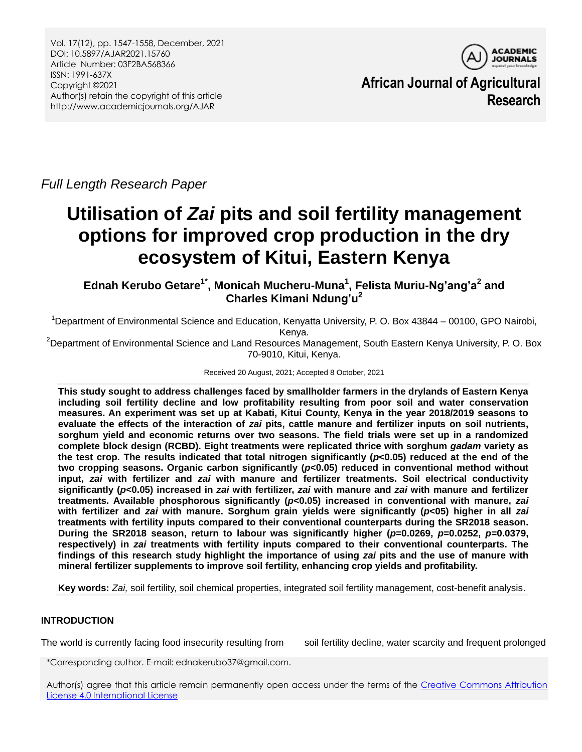

**African Journal of Agricultural Research**

*Full Length Research Paper*

# **Utilisation of** *Zai* **pits and soil fertility management options for improved crop production in the dry ecosystem of Kitui, Eastern Kenya**

**Ednah Kerubo Getare1\* , Monicah Mucheru-Muna<sup>1</sup> , Felista Muriu-Ng'ang'a<sup>2</sup> and Charles Kimani Ndung'u<sup>2</sup>**

<sup>1</sup>Department of Environmental Science and Education, Kenyatta University, P. O. Box 43844 – 00100, GPO Nairobi, Kenya.

<sup>2</sup>Department of Environmental Science and Land Resources Management, South Eastern Kenya University, P. O. Box 70-9010, Kitui, Kenya.

Received 20 August, 2021; Accepted 8 October, 2021

**This study sought to address challenges faced by smallholder farmers in the drylands of Eastern Kenya including soil fertility decline and low profitability resulting from poor soil and water conservation measures. An experiment was set up at Kabati, Kitui County, Kenya in the year 2018/2019 seasons to evaluate the effects of the interaction of** *zai* **pits, cattle manure and fertilizer inputs on soil nutrients, sorghum yield and economic returns over two seasons. The field trials were set up in a randomized complete block design (RCBD). Eight treatments were replicated thrice with sorghum** *gadam* **variety as the test crop. The results indicated that total nitrogen significantly (***p***<0.05) reduced at the end of the two cropping seasons. Organic carbon significantly (***p***<0.05) reduced in conventional method without input,** *zai* **with fertilizer and** *zai* **with manure and fertilizer treatments. Soil electrical conductivity significantly (***p***<0.05) increased in** *zai* **with fertilizer,** *zai* **with manure and** *zai* **with manure and fertilizer treatments. Available phosphorous significantly (***p***<0.05) increased in conventional with manure,** *zai* **with fertilizer and** *zai* **with manure. Sorghum grain yields were significantly (***p***<05) higher in all** *zai*  **treatments with fertility inputs compared to their conventional counterparts during the SR2018 season. During the SR2018 season, return to labour was significantly higher (***p***=0.0269,** *p***=0.0252,** *p***=0.0379, respectively) in** *zai* **treatments with fertility inputs compared to their conventional counterparts. The findings of this research study highlight the importance of using** *zai* **pits and the use of manure with mineral fertilizer supplements to improve soil fertility, enhancing crop yields and profitability.**

**Key words:** *Zai,* soil fertility, soil chemical properties, integrated soil fertility management, cost-benefit analysis.

# **INTRODUCTION**

The world is currently facing food insecurity resulting from soil fertility decline, water scarcity and frequent prolonged

\*Corresponding author. E-mail: ednakerubo37@gmail.com.

Author(s) agree that this article remain permanently open access under the terms of the [Creative Commons Attribution](http://creativecommons.org/licenses/by/4.0/deed.en_US)  [License 4.0 International License](http://creativecommons.org/licenses/by/4.0/deed.en_US)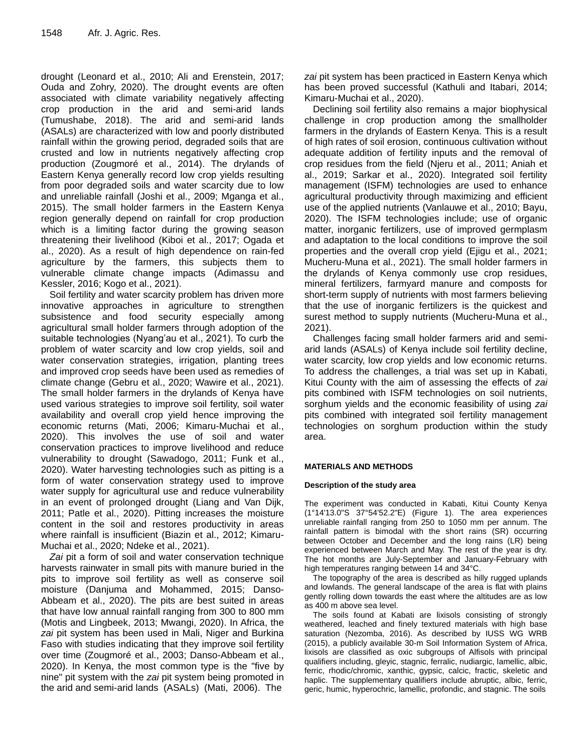drought (Leonard et al., 2010; Ali and Erenstein, 2017; Ouda and Zohry, 2020). The drought events are often associated with climate variability negatively affecting crop production in the arid and semi-arid lands (Tumushabe, 2018). The arid and semi-arid lands (ASALs) are characterized with low and poorly distributed rainfall within the growing period, degraded soils that are crusted and low in nutrients negatively affecting crop production (Zougmoré et al., 2014). The drylands of Eastern Kenya generally record low crop yields resulting from poor degraded soils and water scarcity due to low and unreliable rainfall (Joshi et al., 2009; Mganga et al., 2015). The small holder farmers in the Eastern Kenya region generally depend on rainfall for crop production which is a limiting factor during the growing season threatening their livelihood (Kiboi et al., 2017; Ogada et al., 2020). As a result of high dependence on rain-fed agriculture by the farmers, this subjects them to vulnerable climate change impacts (Adimassu and Kessler, 2016; Kogo et al., 2021).

Soil fertility and water scarcity problem has driven more innovative approaches in agriculture to strengthen subsistence and food security especially among agricultural small holder farmers through adoption of the suitable technologies (Nyang'au et al., 2021). To curb the problem of water scarcity and low crop yields, soil and water conservation strategies, irrigation, planting trees and improved crop seeds have been used as remedies of climate change (Gebru et al., 2020; Wawire et al., 2021). The small holder farmers in the drylands of Kenya have used various strategies to improve soil fertility, soil water availability and overall crop yield hence improving the economic returns (Mati, 2006; Kimaru-Muchai et al., 2020). This involves the use of soil and water conservation practices to improve livelihood and reduce vulnerability to drought (Sawadogo, 2011; Funk et al., 2020). Water harvesting technologies such as pitting is a form of water conservation strategy used to improve water supply for agricultural use and reduce vulnerability in an event of prolonged drought (Liang and Van Dijk, 2011; Patle et al., 2020). Pitting increases the moisture content in the soil and restores productivity in areas where rainfall is insufficient (Biazin et al., 2012; Kimaru-Muchai et al., 2020; Ndeke et al., 2021).

*Zai* pit a form of soil and water conservation technique harvests rainwater in small pits with manure buried in the pits to improve soil fertility as well as conserve soil moisture (Danjuma and Mohammed, 2015; Danso-Abbeam et al., 2020). The pits are best suited in areas that have low annual rainfall ranging from 300 to 800 mm (Motis and Lingbeek, 2013; Mwangi, 2020). In Africa, the *zai* pit system has been used in Mali, Niger and Burkina Faso with studies indicating that they improve soil fertility over time (Zougmoré et al., 2003; Danso-Abbeam et al., 2020). In Kenya, the most common type is the "five by nine" pit system with the *zai* pit system being promoted in the arid and semi-arid lands (ASALs) (Mati, 2006). The

*zai* pit system has been practiced in Eastern Kenya which has been proved successful (Kathuli and Itabari, 2014; Kimaru-Muchai et al., 2020).

Declining soil fertility also remains a major biophysical challenge in crop production among the smallholder farmers in the drylands of Eastern Kenya. This is a result of high rates of soil erosion, continuous cultivation without adequate addition of fertility inputs and the removal of crop residues from the field (Njeru et al., 2011; Aniah et al., 2019; Sarkar et al., 2020). Integrated soil fertility management (ISFM) technologies are used to enhance agricultural productivity through maximizing and efficient use of the applied nutrients (Vanlauwe et al., 2010; Bayu, 2020). The ISFM technologies include; use of organic matter, inorganic fertilizers, use of improved germplasm and adaptation to the local conditions to improve the soil properties and the overall crop yield (Ejigu et al., 2021; Mucheru-Muna et al., 2021). The small holder farmers in the drylands of Kenya commonly use crop residues, mineral fertilizers, farmyard manure and composts for short-term supply of nutrients with most farmers believing that the use of inorganic fertilizers is the quickest and surest method to supply nutrients (Mucheru-Muna et al., 2021).

Challenges facing small holder farmers arid and semiarid lands (ASALs) of Kenya include soil fertility decline, water scarcity, low crop yields and low economic returns. To address the challenges, a trial was set up in Kabati, Kitui County with the aim of assessing the effects of *zai* pits combined with ISFM technologies on soil nutrients, sorghum yields and the economic feasibility of using *zai* pits combined with integrated soil fertility management technologies on sorghum production within the study area.

## **MATERIALS AND METHODS**

## **Description of the study area**

The experiment was conducted in Kabati, Kitui County Kenya (1°14'13.0"S 37°54'52.2"E) (Figure 1). The area experiences unreliable rainfall ranging from 250 to 1050 mm per annum. The rainfall pattern is bimodal with the short rains (SR) occurring between October and December and the long rains (LR) being experienced between March and May. The rest of the year is dry. The hot months are July-September and January-February with high temperatures ranging between 14 and 34°C.

The topography of the area is described as hilly rugged uplands and lowlands. The general landscape of the area is flat with plains gently rolling down towards the east where the altitudes are as low as 400 m above sea level.

The soils found at Kabati are lixisols consisting of strongly weathered, leached and finely textured materials with high base saturation (Nezomba, 2016). As described by IUSS WG WRB (2015), a publicly available 30-m Soil Information System of Africa, lixisols are classified as oxic subgroups of Alfisols with principal qualifiers including, gleyic, stagnic, ferralic, nudiargic, lamellic, albic, ferric, rhodic/chromic, xanthic, gypsic, calcic, fractic, skeletic and haplic. The supplementary qualifiers include abruptic, albic, ferric, geric, humic, hyperochric, lamellic, profondic, and stagnic. The soils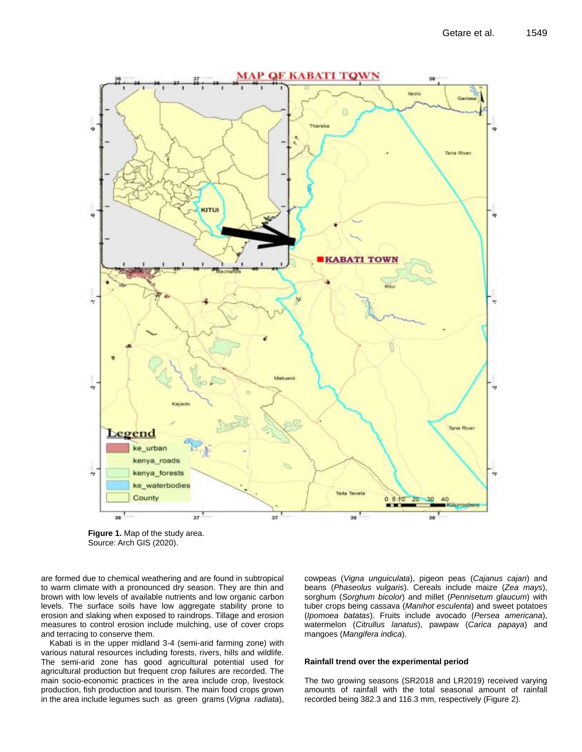

**Figure 1.** Map of the study area. Source: Arch GIS (2020).

are formed due to chemical weathering and are found in subtropical to warm climate with a pronounced dry season. They are thin and brown with low levels of available nutrients and low organic carbon levels. The surface soils have low aggregate stability prone to erosion and slaking when exposed to raindrops. Tillage and erosion measures to control erosion include mulching, use of cover crops and terracing to conserve them.

Kabati is in the upper midland 3-4 (semi-arid farming zone) with various natural resources including forests, rivers, hills and wildlife. The semi-arid zone has good agricultural potential used for agricultural production but frequent crop failures are recorded. The main socio-economic practices in the area include crop, livestock production, fish production and tourism. The main food crops grown in the area include legumes such as green grams (*Vigna radiata*), cowpeas (*Vigna unguiculata*), pigeon peas (*Cajanus cajan*) and beans (*Phaseolus vulgaris*). Cereals include maize (*Zea mays*), sorghum (*Sorghum bicolor*) and millet (*Pennisetum glaucum*) with tuber crops being cassava (*Manihot esculenta*) and sweet potatoes (*Ipomoea batatas*). Fruits include avocado (*Persea americana*), watermelon (*Citrullus lanatus*), pawpaw (*Carica papaya*) and mangoes (*Mangifera indica*).

#### **Rainfall trend over the experimental period**

The two growing seasons (SR2018 and LR2019) received varying amounts of rainfall with the total seasonal amount of rainfall recorded being 382.3 and 116.3 mm, respectively (Figure 2).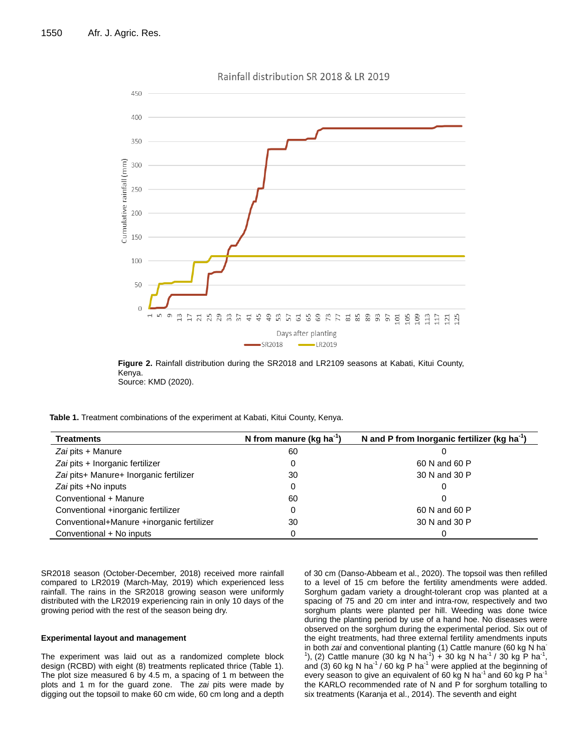

**Figure 2.** Rainfall distribution during the SR2018 and LR2109 seasons at Kabati, Kitui County, Kenya. Source: KMD (2020).

**Table 1.** Treatment combinations of the experiment at Kabati, Kitui County, Kenya.

| <b>Treatments</b>                         | N from manure ( $kg$ ha <sup>-1</sup> | N and P from Inorganic fertilizer (kg ha <sup>-1</sup> ) |
|-------------------------------------------|---------------------------------------|----------------------------------------------------------|
| Zai pits + Manure                         | 60                                    |                                                          |
| Zai pits + Inorganic fertilizer           |                                       | 60 N and 60 P                                            |
| Zai pits+ Manure+ Inorganic fertilizer    | 30                                    | 30 N and 30 P                                            |
| Zai pits +No inputs                       |                                       |                                                          |
| Conventional + Manure                     | 60                                    |                                                          |
| Conventional +inorganic fertilizer        |                                       | 60 N and 60 P                                            |
| Conventional+Manure +inorganic fertilizer | 30                                    | 30 N and 30 P                                            |
| Conventional + No inputs                  |                                       |                                                          |

SR2018 season (October-December, 2018) received more rainfall compared to LR2019 (March-May, 2019) which experienced less rainfall. The rains in the SR2018 growing season were uniformly distributed with the LR2019 experiencing rain in only 10 days of the growing period with the rest of the season being dry.

#### **Experimental layout and management**

The experiment was laid out as a randomized complete block design (RCBD) with eight (8) treatments replicated thrice (Table 1). The plot size measured 6 by 4.5 m, a spacing of 1 m between the plots and 1 m for the guard zone. The *zai* pits were made by digging out the topsoil to make 60 cm wide, 60 cm long and a depth of 30 cm (Danso-Abbeam et al., 2020). The topsoil was then refilled to a level of 15 cm before the fertility amendments were added. Sorghum gadam variety a drought-tolerant crop was planted at a spacing of 75 and 20 cm inter and intra-row, respectively and two sorghum plants were planted per hill. Weeding was done twice during the planting period by use of a hand hoe. No diseases were observed on the sorghum during the experimental period. Six out of the eight treatments, had three external fertility amendments inputs in both *zai* and conventional planting (1) Cattle manure (60 kg N ha-<sup>1</sup>), (2) Cattle manure (30 kg N ha<sup>-1</sup>) + 30 kg N ha<sup>-1</sup> / 30 kg P ha<sup>-1</sup>, and (3) 60 kg N ha<sup>-1</sup> / 60 kg P ha<sup>-1</sup> were applied at the beginning of every season to give an equivalent of 60 kg N ha<sup>-1</sup> and 60 kg P ha<sup>-1</sup> the KARLO recommended rate of N and P for sorghum totalling to six treatments (Karanja et al., 2014). The seventh and eight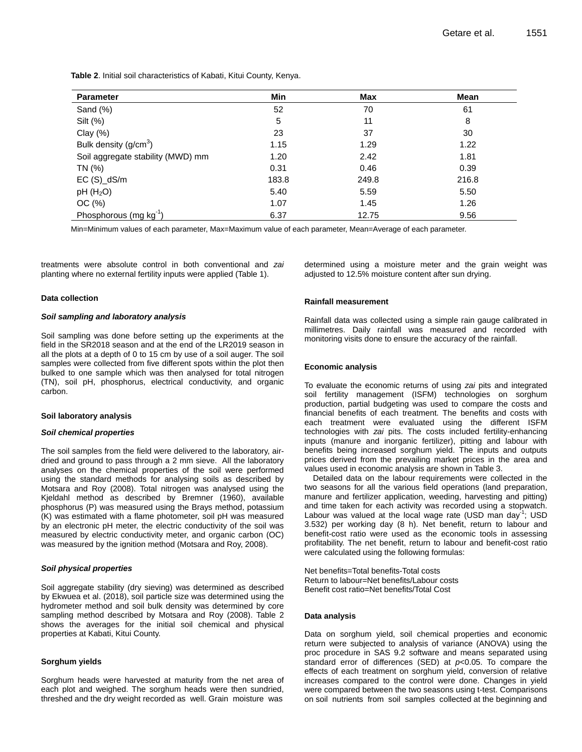**Table 2**. Initial soil characteristics of Kabati, Kitui County, Kenya.

| <b>Parameter</b>                  | Min   | <b>Max</b> | Mean  |  |
|-----------------------------------|-------|------------|-------|--|
| Sand $(\%)$                       | 52    | 70         | 61    |  |
| Silt (%)                          | 5     | 11         | 8     |  |
| Clay $(\%)$                       | 23    | 37         | 30    |  |
| Bulk density $(g/cm3)$            | 1.15  | 1.29       | 1.22  |  |
| Soil aggregate stability (MWD) mm | 1.20  | 2.42       | 1.81  |  |
| TN (%)                            | 0.31  | 0.46       | 0.39  |  |
| $EC(S)_dS/m$                      | 183.8 | 249.8      | 216.8 |  |
| pH(H <sub>2</sub> O)              | 5.40  | 5.59       | 5.50  |  |
| OC(%)                             | 1.07  | 1.45       | 1.26  |  |
| Phosphorous (mg $kg^{-1}$ )       | 6.37  | 12.75      | 9.56  |  |

Min=Minimum values of each parameter, Max=Maximum value of each parameter, Mean=Average of each parameter.

treatments were absolute control in both conventional and *zai* planting where no external fertility inputs were applied (Table 1).

#### **Data collection**

#### *Soil sampling and laboratory analysis*

Soil sampling was done before setting up the experiments at the field in the SR2018 season and at the end of the LR2019 season in all the plots at a depth of 0 to 15 cm by use of a soil auger. The soil samples were collected from five different spots within the plot then bulked to one sample which was then analysed for total nitrogen (TN), soil pH, phosphorus, electrical conductivity, and organic carbon.

#### **Soil laboratory analysis**

#### *Soil chemical properties*

The soil samples from the field were delivered to the laboratory, airdried and ground to pass through a 2 mm sieve. All the laboratory analyses on the chemical properties of the soil were performed using the standard methods for analysing soils as described by Motsara and Roy (2008). Total nitrogen was analysed using the Kjeldahl method as described by Bremner (1960), available phosphorus (P) was measured using the Brays method, potassium (K) was estimated with a flame photometer, soil pH was measured by an electronic pH meter, the electric conductivity of the soil was measured by electric conductivity meter, and organic carbon (OC) was measured by the ignition method (Motsara and Roy, 2008).

#### *Soil physical properties*

Soil aggregate stability (dry sieving) was determined as described by Ekwuea et al. (2018), soil particle size was determined using the hydrometer method and soil bulk density was determined by core sampling method described by Motsara and Roy (2008). Table 2 shows the averages for the initial soil chemical and physical properties at Kabati, Kitui County.

#### **Sorghum yields**

Sorghum heads were harvested at maturity from the net area of each plot and weighed. The sorghum heads were then sundried, threshed and the dry weight recorded as well. Grain moisture was

determined using a moisture meter and the grain weight was adjusted to 12.5% moisture content after sun drying.

#### **Rainfall measurement**

Rainfall data was collected using a simple rain gauge calibrated in millimetres. Daily rainfall was measured and recorded with monitoring visits done to ensure the accuracy of the rainfall.

#### **Economic analysis**

To evaluate the economic returns of using *zai* pits and integrated soil fertility management (ISFM) technologies on sorghum production, partial budgeting was used to compare the costs and financial benefits of each treatment. The benefits and costs with each treatment were evaluated using the different ISFM technologies with *zai* pits. The costs included fertility-enhancing inputs (manure and inorganic fertilizer), pitting and labour with benefits being increased sorghum yield. The inputs and outputs prices derived from the prevailing market prices in the area and values used in economic analysis are shown in Table 3.

Detailed data on the labour requirements were collected in the two seasons for all the various field operations (land preparation, manure and fertilizer application, weeding, harvesting and pitting) and time taken for each activity was recorded using a stopwatch. Labour was valued at the local wage rate (USD man day<sup>-1</sup>; USD 3.532) per working day (8 h). Net benefit, return to labour and benefit-cost ratio were used as the economic tools in assessing profitability. The net benefit, return to labour and benefit-cost ratio were calculated using the following formulas:

Net benefits=Total benefits-Total costs Return to labour=Net benefits/Labour costs Benefit cost ratio=Net benefits/Total Cost

#### **Data analysis**

Data on sorghum yield, soil chemical properties and economic return were subjected to analysis of variance (ANOVA) using the proc procedure in SAS 9.2 software and means separated using standard error of differences (SED) at *p*<0.05. To compare the effects of each treatment on sorghum yield, conversion of relative increases compared to the control were done. Changes in yield were compared between the two seasons using t-test. Comparisons on soil nutrients from soil samples collected at the beginning and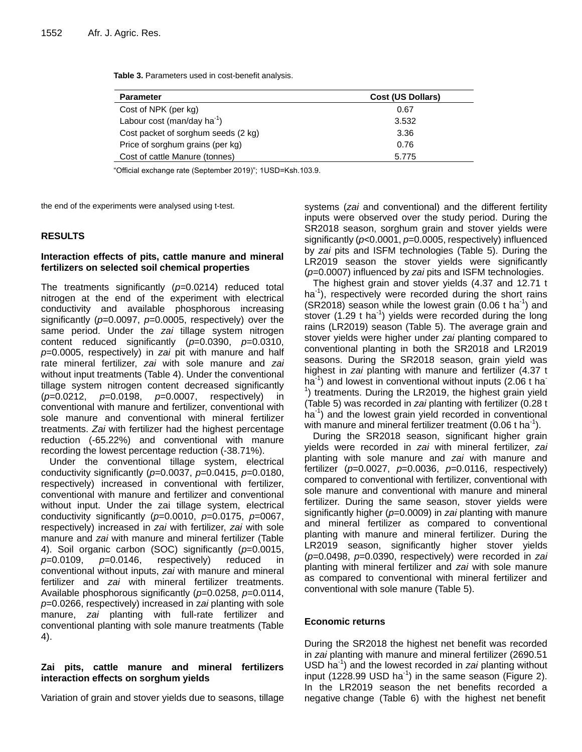**Table 3.** Parameters used in cost-benefit analysis.

| <b>Parameter</b>                        | <b>Cost (US Dollars)</b> |
|-----------------------------------------|--------------------------|
| Cost of NPK (per kg)                    | 0.67                     |
| Labour cost (man/day ha <sup>-1</sup> ) | 3.532                    |
| Cost packet of sorghum seeds (2 kg)     | 3.36                     |
| Price of sorghum grains (per kg)        | 0.76                     |
| Cost of cattle Manure (tonnes)          | 5.775                    |

―Official exchange rate (September 2019)‖; 1USD=Ksh.103.9.

the end of the experiments were analysed using t-test.

## **RESULTS**

## **Interaction effects of pits, cattle manure and mineral fertilizers on selected soil chemical properties**

The treatments significantly (*p=*0.0214) reduced total nitrogen at the end of the experiment with electrical conductivity and available phosphorous increasing significantly (*p*=0.0097, *p*=0.0005, respectively) over the same period. Under the *zai* tillage system nitrogen content reduced significantly (*p*=0.0390, *p*=0.0310, *p*=0.0005, respectively) in *zai* pit with manure and half rate mineral fertilizer, *zai* with sole manure and *zai* without input treatments (Table 4). Under the conventional tillage system nitrogen content decreased significantly (*p*=0.0212, *p*=0.0198, *p*=0.0007, respectively) in conventional with manure and fertilizer, conventional with sole manure and conventional with mineral fertilizer treatments. *Zai* with fertilizer had the highest percentage reduction (-65.22%) and conventional with manure recording the lowest percentage reduction (-38.71%).

Under the conventional tillage system, electrical conductivity significantly (*p*=0.0037, *p*=0.0415, *p*=0.0180, respectively) increased in conventional with fertilizer, conventional with manure and fertilizer and conventional without input. Under the zai tillage system, electrical conductivity significantly (*p*=0.0010, *p*=0.0175, *p*=0067, respectively) increased in *zai* with fertilizer, *zai* with sole manure and *zai* with manure and mineral fertilizer (Table 4). Soil organic carbon (SOC) significantly (*p*=0.0015, *p*=0.0109, *p*=0.0146, respectively) reduced in conventional without inputs, *zai* with manure and mineral fertilizer and *zai* with mineral fertilizer treatments. Available phosphorous significantly (*p*=0.0258, *p*=0.0114, *p*=0.0266, respectively) increased in z*ai* planting with sole manure, *zai* planting with full-rate fertilizer and conventional planting with sole manure treatments (Table 4).

## **Zai pits, cattle manure and mineral fertilizers interaction effects on sorghum yields**

Variation of grain and stover yields due to seasons, tillage

systems (*zai* and conventional) and the different fertility inputs were observed over the study period. During the SR2018 season, sorghum grain and stover yields were significantly (*p*<0.0001, *p*=0.0005, respectively) influenced by *zai* pits and ISFM technologies (Table 5). During the LR2019 season the stover yields were significantly (*p*=0.0007) influenced by *zai* pits and ISFM technologies.

The highest grain and stover yields (4.37 and 12.71 t ha<sup>-1</sup>), respectively were recorded during the short rains  $(SR2018)$  season while the lowest grain  $(0.06 \text{ t} \text{ ha}^{-1})$  and stover  $(1.29$  t ha<sup>-1</sup>) yields were recorded during the long rains (LR2019) season (Table 5). The average grain and stover yields were higher under *zai* planting compared to conventional planting in both the SR2018 and LR2019 seasons. During the SR2018 season, grain yield was highest in *zai* planting with manure and fertilizer (4.37 t ha<sup>-1</sup>) and lowest in conventional without inputs (2.06 t ha<sup>-</sup>  $1$ ) treatments. During the LR2019, the highest grain yield (Table 5) was recorded in *zai* planting with fertilizer (0.28 t ha<sup>-1</sup>) and the lowest grain yield recorded in conventional with manure and mineral fertilizer treatment (0.06 t ha<sup>-1</sup>).

During the SR2018 season, significant higher grain yields were recorded in *zai* with mineral fertilizer, *zai* planting with sole manure and *zai* with manure and fertilizer (*p*=0.0027, *p*=0.0036, *p*=0.0116, respectively) compared to conventional with fertilizer, conventional with sole manure and conventional with manure and mineral fertilizer. During the same season, stover yields were significantly higher (*p*=0.0009) in *zai* planting with manure and mineral fertilizer as compared to conventional planting with manure and mineral fertilizer. During the LR2019 season, significantly higher stover yields (*p*=0.0498, *p*=0.0390, respectively) were recorded in *zai* planting with mineral fertilizer and *zai* with sole manure as compared to conventional with mineral fertilizer and conventional with sole manure (Table 5).

## **Economic returns**

During the SR2018 the highest net benefit was recorded in *zai* planting with manure and mineral fertilizer (2690.51 USD ha-1 ) and the lowest recorded in *zai* planting without input (1228.99 USD ha<sup>-1</sup>) in the same season (Figure 2). In the LR2019 season the net benefits recorded a negative change (Table 6) with the highest net benefit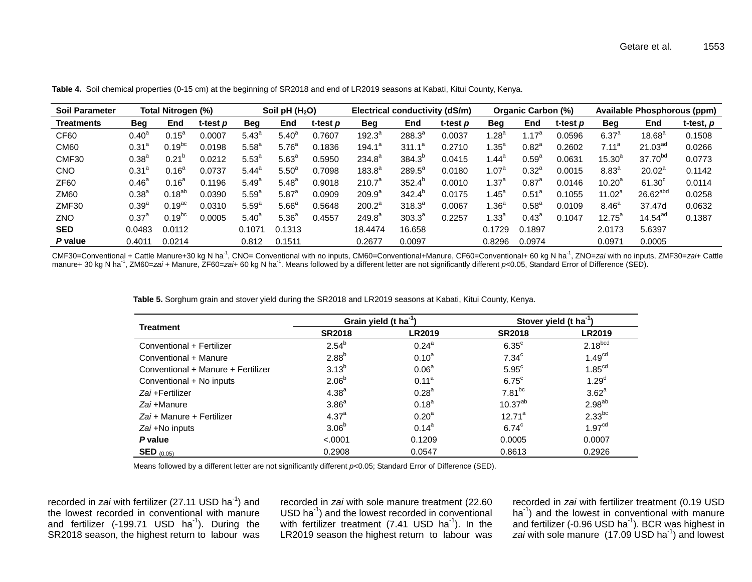| <b>Soil Parameter</b> |                | Total Nitrogen (%)   |                 | Soil pH $(H2O)$   |                   |                 | Electrical conductivity (dS/m) |                 |                 | <b>Organic Carbon (%)</b> |                   |                 | <b>Available Phosphorous (ppm)</b> |                      |           |
|-----------------------|----------------|----------------------|-----------------|-------------------|-------------------|-----------------|--------------------------------|-----------------|-----------------|---------------------------|-------------------|-----------------|------------------------------------|----------------------|-----------|
| <b>Treatments</b>     | <b>Beg</b>     | End                  | t-test <i>p</i> | <b>Beg</b>        | End               | t-test <i>p</i> | <b>Beg</b>                     | End             | t-test <i>p</i> | <b>Beg</b>                | End               | t-test <i>p</i> | <b>Beg</b>                         | End                  | t-test, p |
| CF60                  | $0.40^{\circ}$ | $0.15^{\circ}$       | 0.0007          | $5.43^{\circ}$    | $5.40^{\circ}$    | 0.7607          | $192.3^a$                      | $288.3^{a}$     | 0.0037          | $1.28^a$                  | .17 <sup>a</sup>  | 0.0596          | $6.37^{a}$                         | $18.68^{a}$          | 0.1508    |
| CM <sub>60</sub>      | $0.31^{a}$     | $0.19$ <sub>bc</sub> | 0.0198          | 5.58 <sup>a</sup> | 5.76 <sup>a</sup> | 0.1836          | $194.1^a$                      | $311.1^a$       | 0.2710          | 1.35 $^{\rm a}$           | $0.82^a$          | 0.2602          | $7.11^a$                           | 21.03 <sup>ad</sup>  | 0.0266    |
| CMF30                 | $0.38^{a}$     | $0.21^{\circ}$       | 0.0212          | $5.53^{\circ}$    | 5.63 <sup>a</sup> | 0.5950          | $234.8^a$                      | $384.3^{o}$     | 0.0415          | 1.44 $^{\circ}$           | 0.59 <sup>a</sup> | 0.0631          | $15.30^{a}$                        | 37.70 <sup>bd</sup>  | 0.0773    |
| <b>CNO</b>            | $0.31^a$       | $0.16^a$             | 0.0737          | $5.44^{\circ}$    | 5.50 <sup>a</sup> | 0.7098          | $183.8^{a}$                    | $289.5^a$       | 0.0180          | 1.07 $^{\rm a}$           | $0.32^a$          | 0.0015          | 8.83 <sup>a</sup>                  | $20.02^a$            | 0.1142    |
| <b>ZF60</b>           | $0.46^{\circ}$ | $0.16^4$             | 0.1196          | $5.49^{a}$        | $5.48^{a}$        | 0.9018          | 210.7 <sup>a</sup>             | $352.4^{b}$     | 0.0010          | 1.37 $^{\rm a}$           | $0.87^{\circ}$    | 0.0146          | $10.20^a$                          | $61.30^{\circ}$      | 0.0114    |
| ZM60                  | $0.38^{a}$     | $0.18^{ab}$          | 0.0390          | 5.59 <sup>a</sup> | $5.87^{a}$        | 0.0909          | 209.9 <sup>a</sup>             | $342.4^{\circ}$ | 0.0175          | 1.45 $^{\rm a}$           | $0.51^{\circ}$    | 0.1055          | $11.02^a$                          | 26.62 <sup>abd</sup> | 0.0258    |
| ZMF30                 | $0.39^{a}$     | $0.19$ <sup>ac</sup> | 0.0310          | 5.59 <sup>a</sup> | 5.66 <sup>a</sup> | 0.5648          | $200.2^a$                      | $318.3^{a}$     | 0.0067          | 1.36 $^{\rm a}$           | 0.58 <sup>a</sup> | 0.0109          | 8.46 <sup>a</sup>                  | 37.47d               | 0.0632    |
| ZNO                   | $0.37^{\circ}$ | $0.19$ <sub>bc</sub> | 0.0005          | $5.40^{\circ}$    | 5.36 <sup>a</sup> | 0.4557          | $249.8^a$                      | $303.3^a$       | 0.2257          | $1.33^{\circ}$            | $0.43^{\circ}$    | 0.1047          | $12.75^a$                          | 14.54 <sup>ad</sup>  | 0.1387    |
| <b>SED</b>            | 0.0483         | 0.0112               |                 | 0.1071            | 0.1313            |                 | 18.4474                        | 16.658          |                 | 0.1729                    | 0.1897            |                 | 2.0173                             | 5.6397               |           |
| P value               | 0.4011         | 0.0214               |                 | 0.812             | 0.1511            |                 | 0.2677                         | 0.0097          |                 | 0.8296                    | 0.0974            |                 | 0.0971                             | 0.0005               |           |

**Table 4.** Soil chemical properties (0-15 cm) at the beginning of SR2018 and end of LR2019 seasons at Kabati, Kitui County, Kenya.

 $\overline{\phantom{a}}$ 

CMF30=Conventional + Cattle Manure+30 kg N ha<sup>-1</sup>, CNO= Conventional with no inputs, CM60=Conventional+Manure, CF60=Conventional+ 60 kg N ha<sup>-1</sup>, ZNO=*zai* with no inputs, ZMF30=*zai*+ Cattle<br>manure+ 30 kg N ha<sup>-1</sup>, ZM60=

**Table 5.** Sorghum grain and stover yield during the SR2018 and LR2019 seasons at Kabati, Kitui County, Kenya.

|                                    |                   | Grain yield (t ha <sup>-1</sup> ) | Stover yield (t ha <sup>-1</sup> ) |                      |  |  |
|------------------------------------|-------------------|-----------------------------------|------------------------------------|----------------------|--|--|
| <b>Treatment</b>                   | <b>SR2018</b>     | <b>LR2019</b>                     | <b>SR2018</b>                      | <b>LR2019</b>        |  |  |
| Conventional + Fertilizer          | $2.54^{b}$        | $0.24^{\circ}$                    | $6.35^{\circ}$                     | $2.18^{bcd}$         |  |  |
| Conventional + Manure              | 2.88 <sup>b</sup> | $0.10^{a}$                        | 7.34 <sup>c</sup>                  | 1.49 <sup>cd</sup>   |  |  |
| Conventional + Manure + Fertilizer | $3.13^{b}$        | 0.06 <sup>a</sup>                 | 5.95 <sup>c</sup>                  | 1.85 <sup>cd</sup>   |  |  |
| Conventional + No inputs           | 2.06 <sup>b</sup> | 0.11 <sup>a</sup>                 | $6.75^{\circ}$                     | $1.29^{d}$           |  |  |
| Zai +Fertilizer                    | $4.38^{a}$        | $0.28^{a}$                        | $7.81^{bc}$                        | 3.62 <sup>a</sup>    |  |  |
| Zai +Manure                        | 3.86 <sup>a</sup> | $0.18^{a}$                        | $10.37^{ab}$                       | $2.98^{ab}$          |  |  |
| Zai + Manure + Fertilizer          | $4.37^{a}$        | 0.20 <sup>a</sup>                 | $12.71^a$                          | $2.33$ <sup>bc</sup> |  |  |
| Zai +No inputs                     | 3.06 <sup>b</sup> | $0.14^{a}$                        | $6.74^{\circ}$                     | 1.97 <sup>cd</sup>   |  |  |
| P value                            | < .0001           | 0.1209                            | 0.0005                             | 0.0007               |  |  |
| <b>SED</b> $(0.05)$                | 0.2908            | 0.0547                            | 0.8613                             | 0.2926               |  |  |

Means followed by a different letter are not significantly different  $p$ <0.05; Standard Error of Difference (SED).

recorded in zai with fertilizer (27.11 USD ha<sup>-1</sup>) and the lowest recorded in conventional with manure and fertilizer (-199.71 USD  $ha^{-1}$ ). During the SR2018 season, the highest return to labour was

recorded in *zai* with sole manure treatment (22.60 USD ha<sup>-1</sup>) and the lowest recorded in conventional with fertilizer treatment (7.41 USD ha $^{-1}$ ). In the LR2019 season the highest return to labour was

recorded in *zai* with fertilizer treatment (0.19 USD ha<sup>-1</sup>) and the lowest in conventional with manure and fertilizer (-0.96 USD ha $^{-1}$ ). BCR was highest in zai with sole manure (17.09 USD ha<sup>-1</sup>) and lowest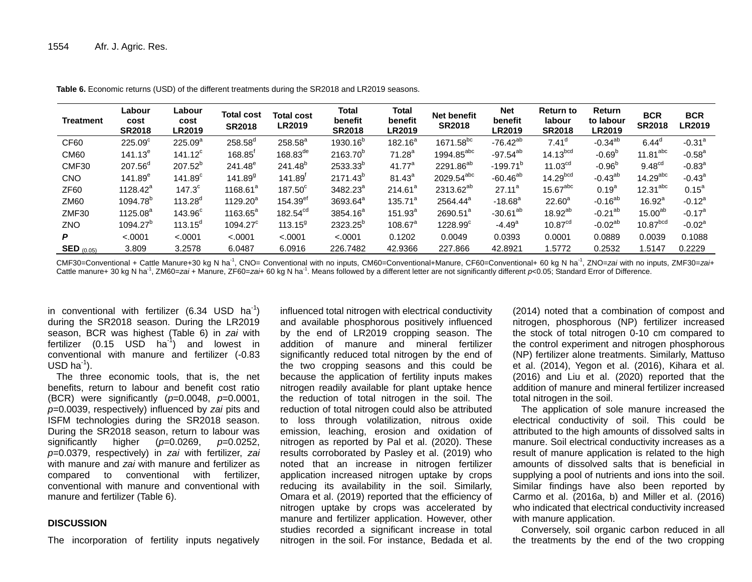| <b>Treatment</b>      | Labour<br>cost<br><b>SR2018</b> | Labour<br>cost<br><b>LR2019</b> | <b>Total cost</b><br><b>SR2018</b> | <b>Total cost</b><br><b>LR2019</b> | Total<br>benefit<br><b>SR2018</b> | Total<br>benefit<br><b>LR2019</b> | <b>Net benefit</b><br><b>SR2018</b> | <b>Net</b><br>benefit<br><b>LR2019</b> | <b>Return to</b><br>labour<br><b>SR2018</b> | <b>Return</b><br>to labour<br><b>LR2019</b> | <b>BCR</b><br><b>SR2018</b> | <b>BCR</b><br><b>LR2019</b> |
|-----------------------|---------------------------------|---------------------------------|------------------------------------|------------------------------------|-----------------------------------|-----------------------------------|-------------------------------------|----------------------------------------|---------------------------------------------|---------------------------------------------|-----------------------------|-----------------------------|
| CF60                  | 225.09 <sup>c</sup>             | $225.09^{a}$                    | $258.58^d$                         | $258.58^a$                         | 1930.16 <sup>b</sup>              | $182.16^a$                        | 1671.58 <sup>bc</sup>               | $-76.42^{ab}$                          | 7.41 <sup>d</sup>                           | $-0.34^{ab}$                                | 6.44 <sup>d</sup>           | $-0.31$ <sup>a</sup>        |
| <b>CM60</b>           | $141.13^{e}$                    | $141.12^c$                      | $168.85^r$                         | $168.83^{de}$                      | 2163.70 <sup>p</sup>              | 71.28 <sup>a</sup>                | $1994.85^{\text{abc}}$              | $-97.54^{ab}$                          | 14.13 <sup>bcd</sup>                        | $-0.69b$                                    | $11.81$ <sup>abc</sup>      | $-0.58^{\circ}$             |
| CMF30                 | $207.56^{\circ}$                | $207.52^{b}$                    | $241.48^e$                         | $241.48^{b}$                       | 2533.33 <sup>b</sup>              | 41.77 <sup>a</sup>                | 2291.86 <sup>ab</sup>               | $-199.71^{b}$                          | 11.03 <sup>cd</sup>                         | $-0.96b$                                    | 9.48 <sup>cd</sup>          | $-0.83^{\circ}$             |
| <b>CNO</b>            | $141.89^{e}$                    | 141.89 <sup>c</sup>             | $141.89^{9}$                       | $141.89$ <sup>r</sup>              | 2171.43 <sup>b</sup>              | $81.43^{a}$                       | $2029.54^{abc}$                     | $-60.46^{ab}$                          | 14.29 <sup>bcd</sup>                        | $-0.43^{ab}$                                | $14.29$ <sup>abc</sup>      | $-0.43^{\circ}$             |
| <b>ZF60</b>           | $1128.42^a$                     | 147.3 <sup>c</sup>              | $1168.61^a$                        | $187.50^{\circ}$                   | 3482.23 <sup>a</sup>              | 214.61 <sup>a</sup>               | 2313.62 <sup>ab</sup>               | $27.11^a$                              | $15.67$ <sup>abc</sup>                      | $0.19^{a}$                                  | $12.31$ <sup>abc</sup>      | $0.15^a$                    |
| <b>ZM60</b>           | 1094.78 <sup>b</sup>            | $113.28^{\circ}$                | $1129.20^a$                        | $154.39$ <sup>ef</sup>             | 3693.64 <sup>a</sup>              | $135.71^a$                        | 2564.44 <sup>a</sup>                | $-18.68$ <sup>a</sup>                  | $22.60^a$                                   | $-0.16^{ab}$                                | $16.92^a$                   | $-0.12^a$                   |
| ZMF30                 | 1125.08 <sup>a</sup>            | 143.96 <sup>c</sup>             | $1163.65^a$                        | 182.54 <sup>cd</sup>               | 3854.16 <sup>a</sup>              | $151.93^{a}$                      | $2690.51^a$                         | $-30.61^{ab}$                          | $18.92^{ab}$                                | $-0.21^{ab}$                                | 15.00 <sup>ab</sup>         | $-0.17^{\circ}$             |
| ZNO                   | 1094.27 <sup>b</sup>            | $113.15^{\circ}$                | $1094.27^c$                        | $113.15^9$                         | 2323.25 <sup>b</sup>              | $108.67^{\circ}$                  | $1228.99^\circ$                     | $-4.49^a$                              | 10.87 <sup>cd</sup>                         | $-0.02^{ab}$                                | 10.87 <sup>bcd</sup>        | $-0.02a$                    |
| P                     | < .0001                         | < .0001                         | < .0001                            | < .0001                            | < .0001                           | 0.1202                            | 0.0049                              | 0.0393                                 | 0.0001                                      | 0.0889                                      | 0.0039                      | 0.1088                      |
| $\text{SED}_{(0.05)}$ | 3.809                           | 3.2578                          | 6.0487                             | 6.0916                             | 226.7482                          | 42.9366                           | 227.866                             | 42.8921                                | 1.5772                                      | 0.2532                                      | 1.5147                      | 0.2229                      |

**Table 6.** Economic returns (USD) of the different treatments during the SR2018 and LR2019 seasons.

CMF30=Conventional + Cattle Manure+30 kg N ha<sup>-1</sup>, CNO= Conventional with no inputs, CM60=Conventional+Manure, CF60=Conventional+ 60 kg N ha<sup>-1</sup>, ZNO=zai with no inputs, ZMF30=zai+ Cattle manure+ 30 kg N ha<sup>-1</sup>, ZM60=*zai* + Manure, ZF60=*zai*+ 60 kg N ha<sup>-1</sup>. Means followed by a different letter are not significantly different *p*<0.05; Standard Error of Difference.

in conventional with fertilizer (6.34 USD ha<sup>-1</sup>) during the SR2018 season. During the LR2019 season, BCR was highest (Table 6) in *zai* with fertilizer (0.15  $USD$  ha<sup>-1</sup>) and lowest in conventional with manure and fertilizer (-0.83  $USD$  ha $^{-1}$ ).

The three economic tools, that is, the net benefits, return to labour and benefit cost ratio (BCR) were significantly (*p*=0.0048, *p*=0.0001, *p*=0.0039, respectively) influenced by *zai* pits and ISFM technologies during the SR2018 season. During the SR2018 season, return to labour was significantly higher (*p*=0.0269, *p*=0.0252, *p*=0.0379, respectively) in *zai* with fertilizer, *zai* with manure and *zai* with manure and fertilizer as compared to conventional with fertilizer, conventional with manure and conventional with manure and fertilizer (Table 6).

## **DISCUSSION**

The incorporation of fertility inputs negatively

influenced total nitrogen with electrical conductivity and available phosphorous positively influenced by the end of LR2019 cropping season. The addition of manure and mineral fertilizer significantly reduced total nitrogen by the end of the two cropping seasons and this could be because the application of fertility inputs makes nitrogen readily available for plant uptake hence the reduction of total nitrogen in the soil. The reduction of total nitrogen could also be attributed to loss through volatilization, nitrous oxide emission, leaching, erosion and oxidation of nitrogen as reported by Pal et al. (2020). These results corroborated by Pasley et al. (2019) who noted that an increase in nitrogen fertilizer application increased nitrogen uptake by crops reducing its availability in the soil. Similarly, Omara et al. (2019) reported that the efficiency of nitrogen uptake by crops was accelerated by manure and fertilizer application. However, other studies recorded a significant increase in total nitrogen in the soil. For instance, Bedada et al.

(2014) noted that a combination of compost and nitrogen, phosphorous (NP) fertilizer increased the stock of total nitrogen 0-10 cm compared to the control experiment and nitrogen phosphorous (NP) fertilizer alone treatments. Similarly, Mattuso et al. (2014), Yegon et al. (2016), Kihara et al. (2016) and Liu et al. (2020) reported that the addition of manure and mineral fertilizer increased total nitrogen in the soil.

The application of sole manure increased the electrical conductivity of soil. This could be attributed to the high amounts of dissolved salts in manure. Soil electrical conductivity increases as a result of manure application is related to the high amounts of dissolved salts that is beneficial in supplying a pool of nutrients and ions into the soil. Similar findings have also been reported by Carmo et al. (2016a, b) and Miller et al. (2016) who indicated that electrical conductivity increased with manure application.

Conversely, soil organic carbon reduced in all the treatments by the end of the two cropping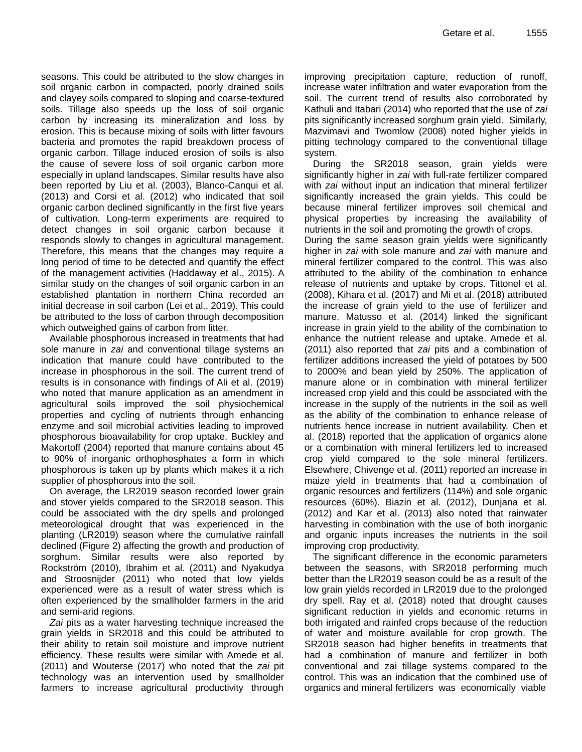seasons. This could be attributed to the slow changes in soil organic carbon in compacted, poorly drained soils and clayey soils compared to sloping and coarse-textured soils. Tillage also speeds up the loss of soil organic carbon by increasing its mineralization and loss by erosion. This is because mixing of soils with litter favours bacteria and promotes the rapid breakdown process of organic carbon. Tillage induced erosion of soils is also the cause of severe loss of soil organic carbon more especially in upland landscapes. Similar results have also been reported by Liu et al. (2003), Blanco-Canqui et al. (2013) and Corsi et al. (2012) who indicated that soil organic carbon declined significantly in the first five years of cultivation. Long-term experiments are required to detect changes in soil organic carbon because it responds slowly to changes in agricultural management. Therefore, this means that the changes may require a long period of time to be detected and quantify the effect of the management activities (Haddaway et al., 2015). A similar study on the changes of soil organic carbon in an established plantation in northern China recorded an initial decrease in soil carbon (Lei et al., 2019). This could be attributed to the loss of carbon through decomposition which outweighed gains of carbon from litter.

Available phosphorous increased in treatments that had sole manure in *zai* and conventional tillage systems an indication that manure could have contributed to the increase in phosphorous in the soil. The current trend of results is in consonance with findings of Ali et al. (2019) who noted that manure application as an amendment in agricultural soils improved the soil physiochemical properties and cycling of nutrients through enhancing enzyme and soil microbial activities leading to improved phosphorous bioavailability for crop uptake. Buckley and Makortoff (2004) reported that manure contains about 45 to 90% of inorganic orthophosphates a form in which phosphorous is taken up by plants which makes it a rich supplier of phosphorous into the soil.

On average, the LR2019 season recorded lower grain and stover yields compared to the SR2018 season. This could be associated with the dry spells and prolonged meteorological drought that was experienced in the planting (LR2019) season where the cumulative rainfall declined (Figure 2) affecting the growth and production of sorghum. Similar results were also reported by Rockström (2010), Ibrahim et al. (2011) and Nyakudya and Stroosnijder (2011) who noted that low yields experienced were as a result of water stress which is often experienced by the smallholder farmers in the arid and semi-arid regions.

*Zai* pits as a water harvesting technique increased the grain yields in SR2018 and this could be attributed to their ability to retain soil moisture and improve nutrient efficiency. These results were similar with Amede et al. (2011) and Wouterse (2017) who noted that the *zai* pit technology was an intervention used by smallholder farmers to increase agricultural productivity through improving precipitation capture, reduction of runoff, increase water infiltration and water evaporation from the soil. The current trend of results also corroborated by Kathuli and Itabari (2014) who reported that the use of *zai* pits significantly increased sorghum grain yield. Similarly, Mazvimavi and Twomlow (2008) noted higher yields in pitting technology compared to the conventional tillage system.

During the SR2018 season, grain yields were significantly higher in *zai* with full-rate fertilizer compared with *zai* without input an indication that mineral fertilizer significantly increased the grain yields. This could be because mineral fertilizer improves soil chemical and physical properties by increasing the availability of nutrients in the soil and promoting the growth of crops.

During the same season grain yields were significantly higher in *zai* with sole manure and *zai* with manure and mineral fertilizer compared to the control. This was also attributed to the ability of the combination to enhance release of nutrients and uptake by crops. Tittonel et al. (2008), Kihara et al. (2017) and Mi et al. (2018) attributed the increase of grain yield to the use of fertilizer and manure. Matusso et al. (2014) linked the significant increase in grain yield to the ability of the combination to enhance the nutrient release and uptake. Amede et al. (2011) also reported that *zai* pits and a combination of fertilizer additions increased the yield of potatoes by 500 to 2000% and bean yield by 250%. The application of manure alone or in combination with mineral fertilizer increased crop yield and this could be associated with the increase in the supply of the nutrients in the soil as well as the ability of the combination to enhance release of nutrients hence increase in nutrient availability. Chen et al. (2018) reported that the application of organics alone or a combination with mineral fertilizers led to increased crop yield compared to the sole mineral fertilizers. Elsewhere, Chivenge et al. (2011) reported an increase in maize yield in treatments that had a combination of organic resources and fertilizers (114%) and sole organic resources (60%). Biazin et al. (2012), Dunjana et al. (2012) and Kar et al. (2013) also noted that rainwater harvesting in combination with the use of both inorganic and organic inputs increases the nutrients in the soil improving crop productivity.

The significant difference in the economic parameters between the seasons, with SR2018 performing much better than the LR2019 season could be as a result of the low grain yields recorded in LR2019 due to the prolonged dry spell. Ray et al. (2018) noted that drought causes significant reduction in yields and economic returns in both irrigated and rainfed crops because of the reduction of water and moisture available for crop growth. The SR2018 season had higher benefits in treatments that had a combination of manure and fertilizer in both conventional and zai tillage systems compared to the control. This was an indication that the combined use of organics and mineral fertilizers was economically viable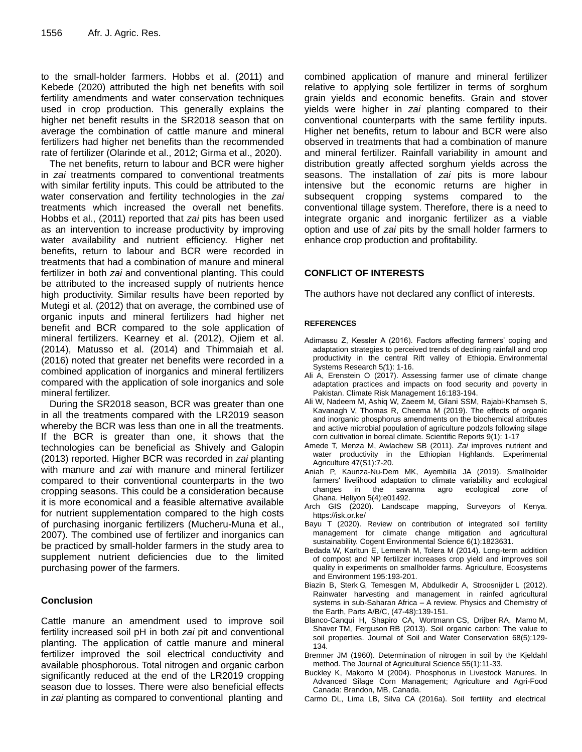to the small-holder farmers. Hobbs et al. (2011) and Kebede (2020) attributed the high net benefits with soil fertility amendments and water conservation techniques used in crop production. This generally explains the higher net benefit results in the SR2018 season that on average the combination of cattle manure and mineral fertilizers had higher net benefits than the recommended rate of fertilizer (Olarinde et al., 2012; Girma et al., 2020).

The net benefits, return to labour and BCR were higher in *zai* treatments compared to conventional treatments with similar fertility inputs. This could be attributed to the water conservation and fertility technologies in the *zai* treatments which increased the overall net benefits. Hobbs et al., (2011) reported that *zai* pits has been used as an intervention to increase productivity by improving water availability and nutrient efficiency. Higher net benefits, return to labour and BCR were recorded in treatments that had a combination of manure and mineral fertilizer in both *zai* and conventional planting. This could be attributed to the increased supply of nutrients hence high productivity. Similar results have been reported by Mutegi et al. (2012) that on average, the combined use of organic inputs and mineral fertilizers had higher net benefit and BCR compared to the sole application of mineral fertilizers. Kearney et al. (2012), Ojiem et al. (2014), Matusso et al. (2014) and Thimmaiah et al. (2016) noted that greater net benefits were recorded in a combined application of inorganics and mineral fertilizers compared with the application of sole inorganics and sole mineral fertilizer.

During the SR2018 season, BCR was greater than one in all the treatments compared with the LR2019 season whereby the BCR was less than one in all the treatments. If the BCR is greater than one, it shows that the technologies can be beneficial as Shively and Galopin (2013) reported. Higher BCR was recorded in *zai* planting with manure and *zai* with manure and mineral fertilizer compared to their conventional counterparts in the two cropping seasons. This could be a consideration because it is more economical and a feasible alternative available for nutrient supplementation compared to the high costs of purchasing inorganic fertilizers (Mucheru-Muna et al., 2007). The combined use of fertilizer and inorganics can be practiced by small-holder farmers in the study area to supplement nutrient deficiencies due to the limited purchasing power of the farmers.

# **Conclusion**

Cattle manure an amendment used to improve soil fertility increased soil pH in both *zai* pit and conventional planting. The application of cattle manure and mineral fertilizer improved the soil electrical conductivity and available phosphorous. Total nitrogen and organic carbon significantly reduced at the end of the LR2019 cropping season due to losses. There were also beneficial effects in *zai* planting as compared to conventional planting and

combined application of manure and mineral fertilizer relative to applying sole fertilizer in terms of sorghum grain yields and economic benefits. Grain and stover yields were higher in *zai* planting compared to their conventional counterparts with the same fertility inputs. Higher net benefits, return to labour and BCR were also observed in treatments that had a combination of manure and mineral fertilizer. Rainfall variability in amount and distribution greatly affected sorghum yields across the seasons. The installation of *zai* pits is more labour intensive but the economic returns are higher in subsequent cropping systems compared to the conventional tillage system. Therefore, there is a need to integrate organic and inorganic fertilizer as a viable option and use of *zai* pits by the small holder farmers to enhance crop production and profitability.

# **CONFLICT OF INTERESTS**

The authors have not declared any conflict of interests.

## **REFERENCES**

- Adimassu Z, Kessler A (2016). Factors affecting farmers' coping and adaptation strategies to perceived trends of declining rainfall and crop productivity in the central Rift valley of Ethiopia. Environmental Systems Research 5*(*1): 1-16.
- Ali A, Erenstein O (2017). Assessing farmer use of climate change adaptation practices and impacts on food security and poverty in Pakistan. Climate Risk Management 16:183-194.
- Ali W, Nadeem M, Ashiq W, Zaeem M, Gilani SSM, Rajabi-Khamseh S, Kavanagh V, Thomas R, Cheema M (2019). The effects of organic and inorganic phosphorus amendments on the biochemical attributes and active microbial population of agriculture podzols following silage corn cultivation in boreal climate. Scientific Reports 9(1): 1-17
- Amede T, Menza M, Awlachew SB (2011). *Zai* improves nutrient and water productivity in the Ethiopian Highlands. Experimental Agriculture 47(S1):7-20.
- Aniah P, Kaunza-Nu-Dem MK, Ayembilla JA (2019). Smallholder farmers' livelihood adaptation to climate variability and ecological changes in the savanna agro ecological zone of Ghana. Heliyon 5(4):e01492.
- Arch GIS (2020). Landscape mapping, Surveyors of Kenya. https://isk.or.ke/
- Bayu T (2020). Review on contribution of integrated soil fertility management for climate change mitigation and agricultural sustainability. Cogent Environmental Science 6(1):1823631.
- Bedada W, Karltun E, Lemenih M, Tolera M (2014). Long-term addition of compost and NP fertilizer increases crop yield and improves soil quality in experiments on smallholder farms. Agriculture, Ecosystems and Environment 195:193-201.
- Biazin B, Sterk G, Temesgen M, Abdulkedir A, Stroosnijder L (2012). Rainwater harvesting and management in rainfed agricultural systems in sub-Saharan Africa – A review. Physics and Chemistry of the Earth, Parts A/B/C, (47-48):139-151.
- Blanco-Canqui H, Shapiro CA, Wortmann CS, Drijber RA, Mamo M, Shaver TM, Ferguson RB (2013). Soil organic carbon: The value to soil properties. Journal of Soil and Water Conservation 68(5):129- 134.
- Bremner JM (1960). Determination of nitrogen in soil by the Kjeldahl method. The Journal of Agricultural Science 55(1):11-33.
- Buckley K, Makorto M (2004). Phosphorus in Livestock Manures. In Advanced Silage Corn Management; Agriculture and Agri-Food Canada: Brandon, MB, Canada.
- Carmo DL, Lima LB, Silva CA (2016a). Soil fertility and electrical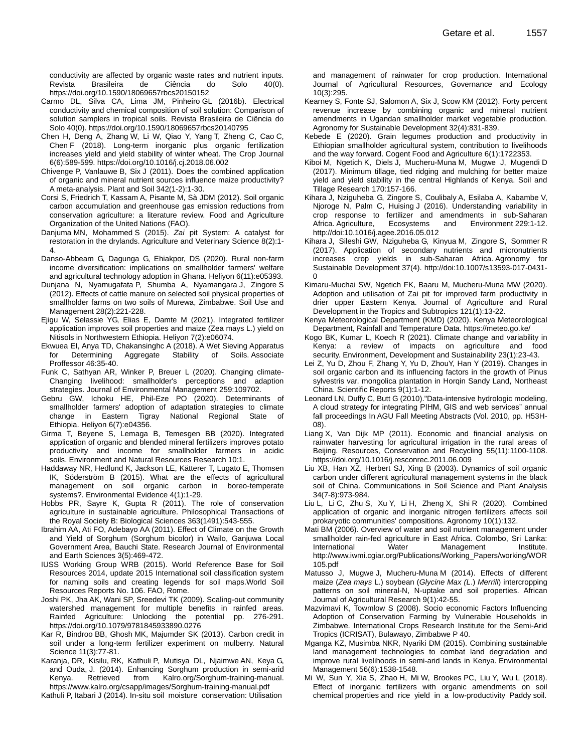conductivity are affected by organic waste rates and nutrient inputs. Revista Brasileira de Ciência do Solo 40(0). https://doi.org/10.1590/18069657rbcs20150152

- Carmo DL, Silva CA, Lima JM, Pinheiro GL (2016b). Electrical conductivity and chemical composition of soil solution: Comparison of solution samplers in tropical soils. Revista Brasileira de Ciência do Solo 40(0). https://doi.org/10.1590/18069657rbcs20140795
- Chen H, Deng A, Zhang W, Li W, Qiao Y, Yang T, Zheng C, Cao C, Chen F (2018). Long-term inorganic plus organic fertilization increases yield and yield stability of winter wheat. The Crop Journal 6(6):589-599. https://doi.org/10.1016/j.cj.2018.06.002
- Chivenge P, Vanlauwe B, Six J (2011). Does the combined application of organic and mineral nutrient sources influence maize productivity? A meta-analysis. Plant and Soil 342(1-2):1-30.
- Corsi S, Friedrich T, Kassam A, Pisante M, Sà JDM (2012). Soil organic carbon accumulation and greenhouse gas emission reductions from conservation agriculture: a literature review. Food and Agriculture Organization of the United Nations (FAO).
- Danjuma MN, Mohammed S (2015). *Zai* pit System: A catalyst for restoration in the drylands. Agriculture and Veterinary Science 8(2):1- 4.
- Danso-Abbeam G, Dagunga G, Ehiakpor, DS (2020). Rural non-farm income diversification: implications on smallholder farmers' welfare and agricultural technology adoption in Ghana. Heliyon 6(11):e05393.
- Dunjana N, Nyamugafata P, Shumba A, Nyamangara J, Zingore S (2012). Effects of cattle manure on selected soil physical properties of smallholder farms on two soils of Murewa, Zimbabwe. Soil Use and Management 28(2):221-228.
- Ejigu W, Selassie YG, Elias E, Damte M (2021). Integrated fertilizer application improves soil properties and maize (Zea mays L.) yield on Nitisols in Northwestern Ethiopia. Heliyon 7(2):e06074.
- Ekwuea EI, Anya TD, Chakansinghc A (2018). A Wet Sieving Apparatus for Determining Aggregate Stability of Soils. Associate Proffessor 46:35-40.
- Funk C, Sathyan AR, Winker P, Breuer L (2020). Changing climate-Changing livelihood: smallholder's perceptions and adaption strategies. Journal of Environmental Management 259:109702.
- Gebru GW, Ichoku HE, Phil-Eze PO (2020). Determinants of smallholder farmers' adoption of adaptation strategies to climate change in Eastern Tigray National Regional State of Ethiopia. Heliyon 6(7):e04356.
- Girma T, Beyene S, Lemaga B, Temesgen BB (2020). Integrated application of organic and blended mineral fertilizers improves potato productivity and income for smallholder farmers in acidic soils. Environment and Natural Resources Research 10:1.
- Haddaway NR, Hedlund K, Jackson LE, Kätterer T, Lugato E, Thomsen IK, Söderström B (2015). What are the effects of agricultural management on soil organic carbon in boreo-temperate systems?. Environmental Evidence 4(1):1-29.
- Hobbs PR, Sayre K, Gupta R (2011). The role of conservation agriculture in sustainable agriculture. Philosophical Transactions of the Royal Society B: Biological Sciences 363(1491):543-555.
- Ibrahim AA, Ati FO, Adebayo AA (2011). Effect of Climate on the Growth and Yield of Sorghum (Sorghum bicolor) in Wailo, Ganjuwa Local Government Area, Bauchi State. Research Journal of Environmental and Earth Sciences 3(5):469-472.
- IUSS Working Group WRB (2015). World Reference Base for Soil Resources 2014, update 2015 International soil classification system for naming soils and creating legends for soil maps.World Soil Resources Reports No. 106. FAO, Rome.
- Joshi PK, Jha AK, Wani SP, Sreedevi TK (2009). Scaling-out community watershed management for multiple benefits in rainfed areas. Rainfed Agriculture: Unlocking the potential pp. 276-291. https://doi.org/10.1079/9781845933890.0276
- Kar R, Bindroo BB, Ghosh MK, Majumder SK (2013). Carbon credit in soil under a long-term fertilizer experiment on mulberry. Natural Science 11(3):77-81.
- Karanja, DR, Kisilu, RK, Kathuli P, Mutisya DL, Njaimwe AN, Keya G, and Ouda, J. (2014). Enhancing Sorghum production in semi-arid Kenya. Retrieved from Kalro.org/Sorghum-training-manual. https://www.kalro.org/csapp/images/Sorghum-training-manual.pdf

Kathuli P, Itabari J (2014). In-situ soil moisture conservation: Utilisation

and management of rainwater for crop production. International Journal of Agricultural Resources, Governance and Ecology 10(3):295.

- Kearney S, Fonte SJ, Salomon A, Six J, Scow KM (2012). Forty percent revenue increase by combining organic and mineral nutrient amendments in Ugandan smallholder market vegetable production. Agronomy for Sustainable Development 32(4):831-839.
- Kebede E (2020). Grain legumes production and productivity in Ethiopian smallholder agricultural system, contribution to livelihoods and the way forward. Cogent Food and Agriculture 6(1):1722353.
- Kiboi M, Ngetich K, Diels J, Mucheru-Muna M, Mugwe J, Mugendi D (2017). Minimum tillage, tied ridging and mulching for better maize yield and yield stability in the central Highlands of Kenya. Soil and Tillage Research 170:157-166.
- Kihara J, Nziguheba G, Zingore S, Coulibaly A, Esilaba A, Kabambe V, Njoroge N, Palm C, Huising J (2016). Understanding variability in crop response to fertilizer and amendments in sub-Saharan Africa. Agriculture, Ecosystems and Environment 229:1-12. http://doi:10.1016/j.agee.2016.05.012
- Kihara J, Sileshi GW, Nziguheba G, Kinyua M, Zingore S, Sommer R (2017). Application of secondary nutrients and micronutrients increases crop yields in sub-Saharan Africa. Agronomy for Sustainable Development 37(4). http://doi:10.1007/s13593-017-0431-  $\Omega$
- Kimaru-Muchai SW, Ngetich FK, Baaru M, Mucheru-Muna MW (2020). Adoption and utilisation of Zai pit for improved farm productivity in drier upper Eastern Kenya. Journal of Agriculture and Rural Development in the Tropics and Subtropics 121(1):13-22.
- Kenya Meteorological Department (KMD) (2020). Kenya Meteorological Department, Rainfall and Temperature Data. https://meteo.go.ke/
- Kogo BK, Kumar L, Koech R (2021). Climate change and variability in Kenya: a review of impacts on agriculture and food security. Environment, Development and Sustainability 23(1):23-43.
- Lei Z, Yu D, Zhou F, Zhang Y, Yu D, ZhouY, Han Y (2019). Changes in soil organic carbon and its influencing factors in the growth of Pinus sylvestris var. mongolica plantation in Horqin Sandy Land, Northeast China. Scientific Reports 9(1):1-12.
- Leonard LN, Duffy C, Butt G (2010)."Data-intensive hydrologic modeling, A cloud strategy for integrating PIHM, GIS and web services" annual fall proceedings In AGU Fall Meeting Abstracts (Vol. 2010, pp. H53H-08).
- Liang X, Van Dijk MP (2011). Economic and financial analysis on rainwater harvesting for agricultural irrigation in the rural areas of Beijing. Resources, Conservation and Recycling 55(11):1100-1108. https://doi.org/10.1016/j.resconrec.2011.06.009
- Liu XB, Han XZ, Herbert SJ, Xing B (2003). Dynamics of soil organic carbon under different agricultural management systems in the black soil of China. Communications in Soil Science and Plant Analysis 34(7-8):973-984.
- Liu L, Li C, Zhu S, Xu Y, Li H, Zheng X, Shi R (2020). Combined application of organic and inorganic nitrogen fertilizers affects soil prokaryotic communities' compositions. Agronomy 10(1):132.
- Mati BM (2006). Overview of water and soil nutrient management under smallholder rain-fed agriculture in East Africa. Colombo, Sri Lanka: International Water Management Institute. http://www.iwmi.cgiar.org/Publications/Working\_Papers/working/WOR 105.pdf
- Matusso J, Mugwe J, Mucheru-Muna M (2014). Effects of different maize (*Zea mays* L.) soybean (*Glycine Max (L*.) *Merrill*) intercropping patterns on soil mineral-N, N-uptake and soil properties. African Journal of Agricultural Research 9(1):42-55.
- Mazvimavi K, Towmlow S (2008). Socio economic Factors Influencing Adoption of Conservation Farming by Vulnerable Households in Zimbabwe. International Crops Research Institute for the Semi-Arid Tropics (ICRISAT), Bulawayo, Zimbabwe P 40.
- Mganga KZ, Musimba NKR, Nyariki DM (2015). Combining sustainable land management technologies to combat land degradation and improve rural livelihoods in semi-arid lands in Kenya. Environmental Management 56(6):1538-1548.
- Mi W, Sun Y, Xia S, Zhao H, Mi W, Brookes PC, Liu Y, Wu L (2018). Effect of inorganic fertilizers with organic amendments on soil chemical properties and rice yield in a low-productivity Paddy soil.